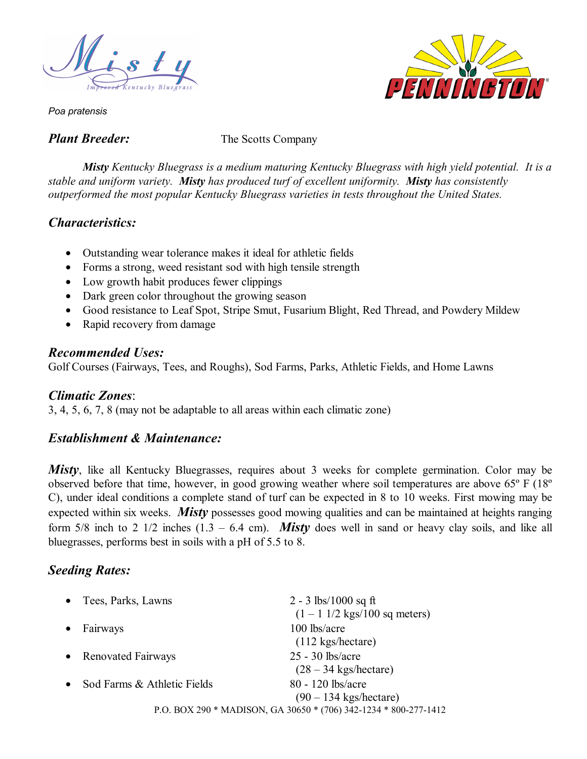



*Poa pratensis* 

*Plant Breeder:* The Scotts Company

*Misty Kentucky Bluegrass is a medium maturing Kentucky Bluegrass with high yield potential. It is a stable and uniform variety. Misty has produced turf of excellent uniformity. Misty has consistently outperformed the most popular Kentucky Bluegrass varieties in tests throughout the United States.* 

# *Characteristics:*

- Outstanding wear tolerance makes it ideal for athletic fields
- Forms a strong, weed resistant sod with high tensile strength
- Low growth habit produces fewer clippings
- Dark green color throughout the growing season
- Good resistance to Leaf Spot, Stripe Smut, Fusarium Blight, Red Thread, and Powdery Mildew
- Rapid recovery from damage

### *Recommended Uses:*

Golf Courses (Fairways, Tees, and Roughs), Sod Farms, Parks, Athletic Fields, and Home Lawns

### *Climatic Zones*:

3, 4, 5, 6, 7, 8 (may not be adaptable to all areas within each climatic zone)

# *Establishment & Maintenance:*

*Misty*, like all Kentucky Bluegrasses, requires about 3 weeks for complete germination. Color may be observed before that time, however, in good growing weather where soil temperatures are above 65º F (18º C), under ideal conditions a complete stand of turf can be expected in 8 to 10 weeks. First mowing may be expected within six weeks. *Misty* possesses good mowing qualities and can be maintained at heights ranging form 5/8 inch to 2 1/2 inches  $(1.3 - 6.4 \text{ cm})$ . *Misty* does well in sand or heavy clay soils, and like all bluegrasses, performs best in soils with a pH of 5.5 to 8.

# *Seeding Rates:*

| • Tees, Parks, Lawns                     | 2 - 3 lbs/1000 sq ft                                             |
|------------------------------------------|------------------------------------------------------------------|
|                                          | $(1 - 1 \frac{1}{2} \text{ kgs}/100 \text{ sq meters})$          |
| Fairways<br>$\bullet$                    | 100 lbs/acre                                                     |
|                                          | $(112 \text{ kgs/hectare})$                                      |
| • Renovated Fairways                     | $25 - 30$ lbs/acre                                               |
|                                          | $(28 - 34 \text{ kgs/hectare})$                                  |
| Sod Farms & Athletic Fields<br>$\bullet$ | 80 - 120 lbs/acre                                                |
|                                          | $(90 - 134$ kgs/hectare)                                         |
|                                          | P.O. BOX 290 * MADISON, GA 30650 * (706) 342-1234 * 800-277-1412 |